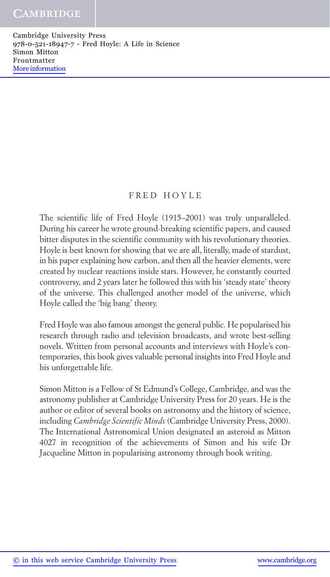## FRED HOYLE

The scientific life of Fred Hoyle (1915–2001) was truly unparalleled. During his career he wrote ground-breaking scientific papers, and caused bitter disputes in the scientific community with his revolutionary theories. Hoyle is best known for showing that we are all, literally, made of stardust, in his paper explaining how carbon, and then all the heavier elements, were created by nuclear reactions inside stars. However, he constantly courted controversy, and 2 years later he followed this with his 'steady state' theory of the universe. This challenged another model of the universe, which Hoyle called the 'big bang' theory.

Fred Hoyle was also famous amongst the general public. He popularised his research through radio and television broadcasts, and wrote best-selling novels. Written from personal accounts and interviews with Hoyle's contemporaries, this book gives valuable personal insights into Fred Hoyle and his unforgettable life.

Simon Mitton is a Fellow of St Edmund's College, Cambridge, and was the astronomy publisher at Cambridge University Press for 20 years. He is the author or editor of several books on astronomy and the history of science, including *Cambridge Scientific Minds* (Cambridge University Press, 2000). The International Astronomical Union designated an asteroid as Mitton 4027 in recognition of the achievements of Simon and his wife Dr Jacqueline Mitton in popularising astronomy through book writing.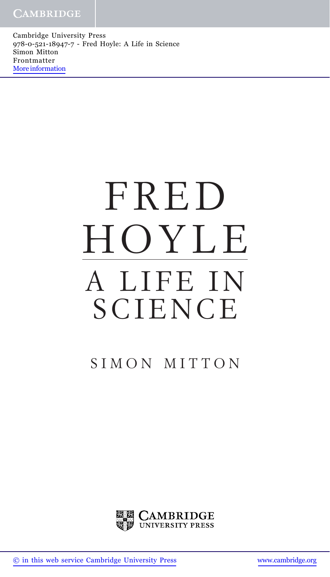# FRED HOYLE A LIFE IN **SCIENCE**

## SIMON MITTON



[© in this web service Cambridge University Press](http://www.cambridge.org) [www.cambridge.org](http://www.cambridge.org)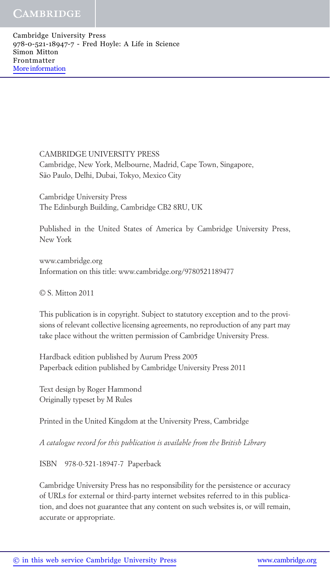## CAMBRIDGE UNIVERSITY PRESS

Cambridge, New York, Melbourne, Madrid, Cape Town, Singapore, São Paulo, Delhi, Dubai, Tokyo, Mexico City

Cambridge University Press The Edinburgh Building, Cambridge CB2 8RU, UK

Published in the United States of America by Cambridge University Press, New York

www.cambridge.org Information on this title: www.cambridge.org/9780521189477

© S. Mitton 2011

This publication is in copyright. Subject to statutory exception and to the provisions of relevant collective licensing agreements, no reproduction of any part may take place without the written permission of Cambridge University Press.

Hardback edition published by Aurum Press 2005 Paperback edition published by Cambridge University Press 2011

Text design by Roger Hammond Originally typeset by M Rules

Printed in the United Kingdom at the University Press, Cambridge

*A catalogue record for this publication is available from the British Library*

ISBN 978-0-521-18947-7 Paperback

Cambridge University Press has no responsibility for the persistence or accuracy of URLs for external or third-party internet websites referred to in this publication, and does not guarantee that any content on such websites is, or will remain, accurate or appropriate.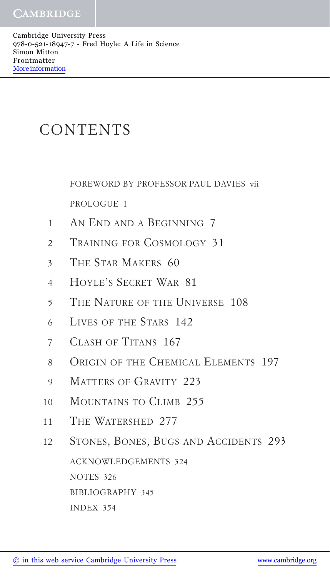# CONTENTS

FOREWORD BY PROFESSOR PAUL DAVIES vii PROLOGUE 1

- 1 AN END AND A BEGINNING 7
- 2 TRAINING FOR COSMOLOGY 31
- 3 THE STAR MAKERS 60
- 4 HOYLE'S SECRET WAR 81
- 5 THE NATURE OF THE UNIVERSE 108
- 6 LIVES OF THE STARS 142
- 7 CLASH OF TITANS 167
- 8 ORIGIN OF THE CHEMICAL ELEMENTS 197
- 9 MATTERS OF GRAVITY 223
- 10 MOUNTAINS TO CLIMB 255
- 11 THE WATERSHED 277
- 12 STONES, BONES, BUGS AND ACCIDENTS 293 ACKNOWLEDGEMENTS 324 NOTES 326 BIBLIOGRAPHY 345 INDEX 354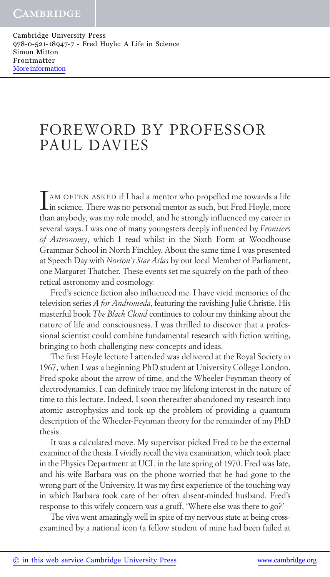## FOREWORD BY PROFESSOR PAUL DAVIES

I AM OFTEN ASKED if I had a mentor who propelled me towards a life<br>in science. There was no personal mentor as such, but Fred Hoyle, more in science. There was no personal mentor as such, but Fred Hoyle, more than anybody, was my role model, and he strongly influenced my career in several ways. I was one of many youngsters deeply influenced by *Frontiers of Astronomy*, which I read whilst in the Sixth Form at Woodhouse Grammar School in North Finchley. About the same time I was presented at Speech Day with *Norton's Star Atlas* by our local Member of Parliament, one Margaret Thatcher. These events set me squarely on the path of theoretical astronomy and cosmology.

Fred's science fiction also influenced me. I have vivid memories of the television series *A for Andromeda*, featuring the ravishing Julie Christie. His masterful book *The Black Cloud* continues to colour my thinking about the nature of life and consciousness. I was thrilled to discover that a professional scientist could combine fundamental research with fiction writing, bringing to both challenging new concepts and ideas.

The first Hoyle lecture I attended was delivered at the Royal Society in 1967, when I was a beginning PhD student at University College London. Fred spoke about the arrow of time, and the Wheeler-Feynman theory of electrodynamics. I can definitely trace my lifelong interest in the nature of time to this lecture. Indeed, I soon thereafter abandoned my research into atomic astrophysics and took up the problem of providing a quantum description of the Wheeler-Feynman theory for the remainder of my PhD thesis.

It was a calculated move. My supervisor picked Fred to be the external examiner of the thesis. I vividly recall the viva examination, which took place in the Physics Department at UCL in the late spring of 1970. Fred was late, and his wife Barbara was on the phone worried that he had gone to the wrong part of the University. It was my first experience of the touching way in which Barbara took care of her often absent-minded husband. Fred's response to this wifely concern was a gruff, 'Where else was there to go?'

The viva went amazingly well in spite of my nervous state at being crossexamined by a national icon (a fellow student of mine had been failed at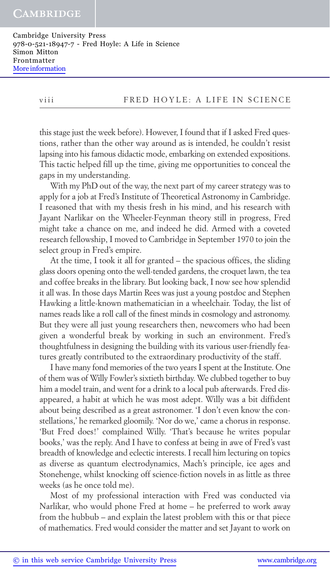this stage just the week before). However, I found that if I asked Fred questions, rather than the other way around as is intended, he couldn't resist lapsing into his famous didactic mode, embarking on extended expositions. This tactic helped fill up the time, giving me opportunities to conceal the gaps in my understanding.

With my PhD out of the way, the next part of my career strategy was to apply for a job at Fred's Institute of Theoretical Astronomy in Cambridge. I reasoned that with my thesis fresh in his mind, and his research with Jayant Narlikar on the Wheeler-Feynman theory still in progress, Fred might take a chance on me, and indeed he did. Armed with a coveted research fellowship, I moved to Cambridge in September 1970 to join the select group in Fred's empire.

At the time, I took it all for granted – the spacious offices, the sliding glass doors opening onto the well-tended gardens, the croquet lawn, the tea and coffee breaks in the library. But looking back, I now see how splendid it all was. In those days Martin Rees was just a young postdoc and Stephen Hawking a little-known mathematician in a wheelchair. Today, the list of names reads like a roll call of the finest minds in cosmology and astronomy. But they were all just young researchers then, newcomers who had been given a wonderful break by working in such an environment. Fred's thoughtfulness in designing the building with its various user-friendly features greatly contributed to the extraordinary productivity of the staff.

I have many fond memories of the two years I spent at the Institute. One of them was of Willy Fowler's sixtieth birthday. We clubbed together to buy him a model train, and went for a drink to a local pub afterwards. Fred disappeared, a habit at which he was most adept. Willy was a bit diffident about being described as a great astronomer. 'I don't even know the constellations,' he remarked gloomily. 'Nor do we,' came a chorus in response. 'But Fred does!' complained Willy. 'That's because he writes popular books,' was the reply. And I have to confess at being in awe of Fred's vast breadth of knowledge and eclectic interests. I recall him lecturing on topics as diverse as quantum electrodynamics, Mach's principle, ice ages and Stonehenge, whilst knocking off science-fiction novels in as little as three weeks (as he once told me).

Most of my professional interaction with Fred was conducted via Narlikar, who would phone Fred at home – he preferred to work away from the hubbub – and explain the latest problem with this or that piece of mathematics. Fred would consider the matter and set Jayant to work on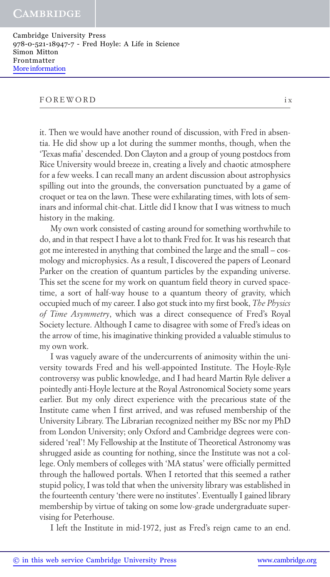## FOREWORD ix

it. Then we would have another round of discussion, with Fred in absentia. He did show up a lot during the summer months, though, when the 'Texas mafia' descended. Don Clayton and a group of young postdocs from Rice University would breeze in, creating a lively and chaotic atmosphere for a few weeks. I can recall many an ardent discussion about astrophysics spilling out into the grounds, the conversation punctuated by a game of croquet or tea on the lawn. These were exhilarating times, with lots of seminars and informal chit-chat. Little did I know that I was witness to much history in the making.

My own work consisted of casting around for something worthwhile to do, and in that respect I have a lot to thank Fred for. It was his research that got me interested in anything that combined the large and the small – cosmology and microphysics. As a result, I discovered the papers of Leonard Parker on the creation of quantum particles by the expanding universe. This set the scene for my work on quantum field theory in curved spacetime, a sort of half-way house to a quantum theory of gravity, which occupied much of my career. I also got stuck into my first book, *The Physics of Time Asymmetry*, which was a direct consequence of Fred's Royal Society lecture. Although I came to disagree with some of Fred's ideas on the arrow of time, his imaginative thinking provided a valuable stimulus to my own work.

I was vaguely aware of the undercurrents of animosity within the university towards Fred and his well-appointed Institute. The Hoyle-Ryle controversy was public knowledge, and I had heard Martin Ryle deliver a pointedly anti-Hoyle lecture at the Royal Astronomical Society some years earlier. But my only direct experience with the precarious state of the Institute came when I first arrived, and was refused membership of the University Library. The Librarian recognized neither my BSc nor my PhD from London University; only Oxford and Cambridge degrees were considered 'real'! My Fellowship at the Institute of Theoretical Astronomy was shrugged aside as counting for nothing, since the Institute was not a college. Only members of colleges with 'MA status' were officially permitted through the hallowed portals. When I retorted that this seemed a rather stupid policy, I was told that when the university library was established in the fourteenth century 'there were no institutes'. Eventually I gained library membership by virtue of taking on some low-grade undergraduate supervising for Peterhouse.

I left the Institute in mid-1972, just as Fred's reign came to an end.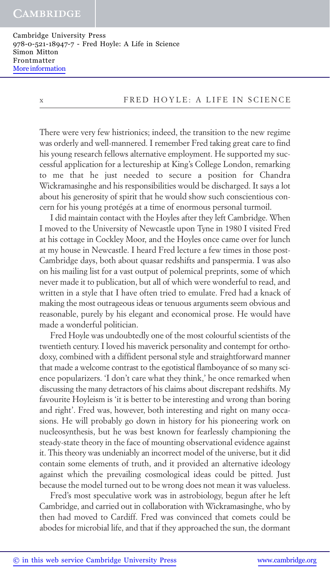## x FRED HOYLE: A LIFE IN SCIENCE

There were very few histrionics; indeed, the transition to the new regime was orderly and well-mannered. I remember Fred taking great care to find his young research fellows alternative employment. He supported my successful application for a lectureship at King's College London, remarking to me that he just needed to secure a position for Chandra Wickramasinghe and his responsibilities would be discharged. It says a lot about his generosity of spirit that he would show such conscientious concern for his young protégés at a time of enormous personal turmoil.

I did maintain contact with the Hoyles after they left Cambridge. When I moved to the University of Newcastle upon Tyne in 1980 I visited Fred at his cottage in Cockley Moor, and the Hoyles once came over for lunch at my house in Newcastle. I heard Fred lecture a few times in those post-Cambridge days, both about quasar redshifts and panspermia. I was also on his mailing list for a vast output of polemical preprints, some of which never made it to publication, but all of which were wonderful to read, and written in a style that I have often tried to emulate. Fred had a knack of making the most outrageous ideas or tenuous arguments seem obvious and reasonable, purely by his elegant and economical prose. He would have made a wonderful politician.

Fred Hoyle was undoubtedly one of the most colourful scientists of the twentieth century. I loved his maverick personality and contempt for orthodoxy, combined with a diffident personal style and straightforward manner that made a welcome contrast to the egotistical flamboyance of so many science popularizers. 'I don't care what they think,' he once remarked when discussing the many detractors of his claims about discrepant redshifts. My favourite Hoyleism is 'it is better to be interesting and wrong than boring and right'. Fred was, however, both interesting and right on many occasions. He will probably go down in history for his pioneering work on nucleosynthesis, but he was best known for fearlessly championing the steady-state theory in the face of mounting observational evidence against it. This theory was undeniably an incorrect model of the universe, but it did contain some elements of truth, and it provided an alternative ideology against which the prevailing cosmological ideas could be pitted. Just because the model turned out to be wrong does not mean it was valueless.

Fred's most speculative work was in astrobiology, begun after he left Cambridge, and carried out in collaboration with Wickramasinghe, who by then had moved to Cardiff. Fred was convinced that comets could be abodes for microbial life, and that if they approached the sun, the dormant